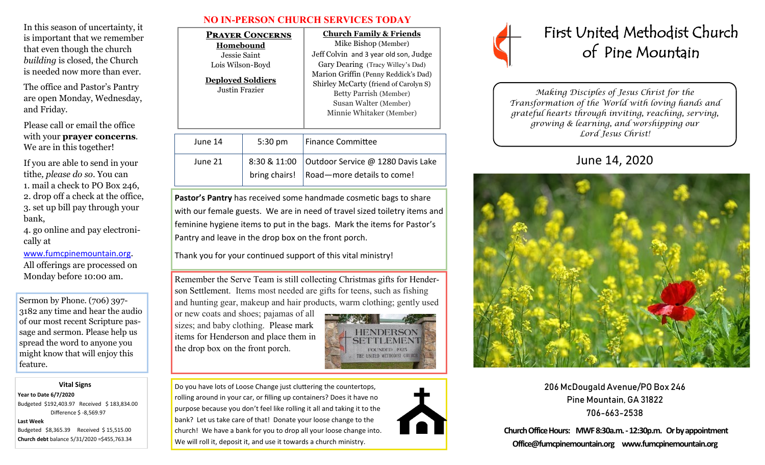In this season of uncertainty, it is important that we remember that even though the church *building* is closed, the Church is needed now more than ever.

The office and Pastor's Pantry are open Monday, Wednesday, and Friday.

Please call or email the office with your **prayer concerns**. We are in this together!

If you are able to send in your tithe*, please do so*. You can 1. mail a check to PO Box 246, 2. drop off a check at the office, 3. set up bill pay through your bank,

4. go online and pay electronically at

#### [www.fumcpinemountain.org](http://www.fumcpinemountain.org).

All offerings are processed on Monday before 10:00 am.

Sermon by Phone. (706) 397- 3182 any time and hear the audio of our most recent Scripture passage and sermon. Please help us spread the word to anyone you might know that will enjoy this feature.

#### **Vital Signs**

**Year to Date 6/7/2020**  Budgeted \$192,403.97 Received \$ 183,834.00 Difference \$ -8,569.97

#### **Last Week**

Budgeted \$8,365.39 Received \$ 15,515.00 **Church debt** balance 5/31/2020 =\$455,763.34

| <b>NO IN-PERSON CHURCH SERVICES TODAY</b> |  |  |  |
|-------------------------------------------|--|--|--|
|-------------------------------------------|--|--|--|

| <b>PRAYER CONCERNS</b><br>Homebound<br>Jessie Saint-<br>Lois Wilson-Boyd<br><b>Deployed Soldiers</b><br>Justin Frazier |                               | <b>Church Family &amp; Friends</b><br>Mike Bishop (Member)<br>Jeff Colvin and 3 year old son, Judge<br>Gary Dearing (Tracy Willey's Dad)<br>Marion Griffin (Penny Reddick's Dad)<br>Shirley McCarty (friend of Carolyn S)<br><b>Betty Parrish (Member)</b><br>Susan Walter (Member)<br>Minnie Whitaker (Member) |  |
|------------------------------------------------------------------------------------------------------------------------|-------------------------------|-----------------------------------------------------------------------------------------------------------------------------------------------------------------------------------------------------------------------------------------------------------------------------------------------------------------|--|
| June 14                                                                                                                | 5:30 pm                       | Finance Committee                                                                                                                                                                                                                                                                                               |  |
| June 21                                                                                                                | 8:30 & 11:00<br>bring chairs! | Outdoor Service @ 1280 Davis Lake<br>Road-more details to come!                                                                                                                                                                                                                                                 |  |

**Pastor's Pantry** has received some handmade cosmetic bags to share with our female guests. We are in need of travel sized toiletry items and feminine hygiene items to put in the bags. Mark the items for Pastor's Pantry and leave in the drop box on the front porch.

Thank you for your continued support of this vital ministry!

Remember the Serve Team is still collecting Christmas gifts for Henderson Settlement. Items most needed are gifts for teens, such as fishing and hunting gear, makeup and hair products, warm clothing; gently used

or new coats and shoes; pajamas of all sizes; and baby clothing. Please mark items for Henderson and place them in the drop box on the front porch.



Do you have lots of Loose Change just cluttering the countertops, rolling around in your car, or filling up containers? Does it have no purpose because you don't feel like rolling it all and taking it to the bank? Let us take care of that! Donate your loose change to the church! We have a bank for you to drop all your loose change into. We will roll it, deposit it, and use it towards a church ministry.





*Making Disciples of Jesus Christ for the Transformation of the World with loving hands and grateful hearts through inviting, reaching, serving, growing & learning, and worshipping our Lord Jesus Christ!* 

# June 14, 2020



206 McDougald Avenue/PO Box 246 Pine Mountain, GA 31822 706-663-2538

**Church Office Hours: MWF 8:30a.m. -12:30p.m. Or by appointment Office@fumcpinemountain.org www.fumcpinemountain.org**